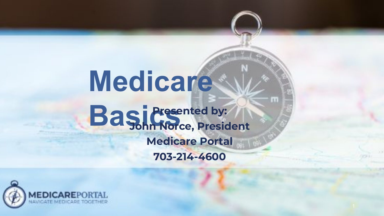# **Medicare BasicsPresented by: John Norce, President Medicare Portal 703-214-4600**

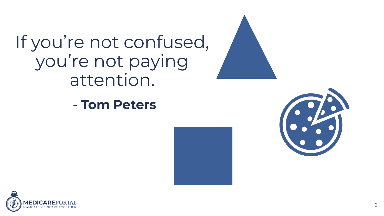If you're not confused, you're not paying attention.

- **Tom Peters**





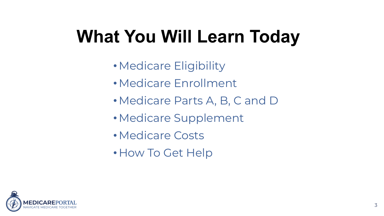# **What You Will Learn Today**

- •Medicare Eligibility
- •Medicare Enrollment
- •Medicare Parts A, B, C and D
- •Medicare Supplement
- •Medicare Costs
- How To Get Help

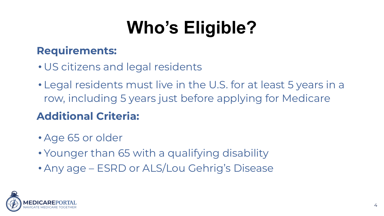# **Who's Eligible?**

#### **Requirements:**

- US citizens and legal residents
- Legal residents must live in the U.S. for at least 5 years in a row, including 5 years just before applying for Medicare

### **Additional Criteria:**

- Age 65 or older
- Younger than 65 with a qualifying disability
- Any age ESRD or ALS/Lou Gehrig's Disease

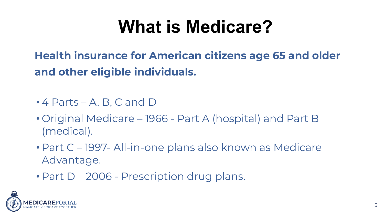### **What is Medicare?**

**Health insurance for American citizens age 65 and older and other eligible individuals.**

- 4 Parts A, B, C and D
- Original Medicare 1966 Part A (hospital) and Part B (medical).
- Part C 1997- All-in-one plans also known as Medicare Advantage.
- Part D 2006 Prescription drug plans.

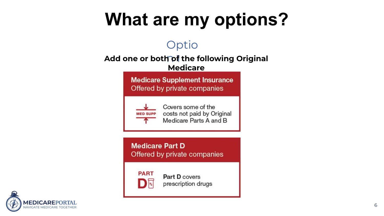## **What are my options?**

#### Optio

#### **Add one or both of the following Original**

**Medicare**

**Medicare Supplement Insurance** Offered by private companies



Covers some of the costs not paid by Original Medicare Parts A and B

**Medicare Part D** Offered by private companies



Part D covers prescription drugs

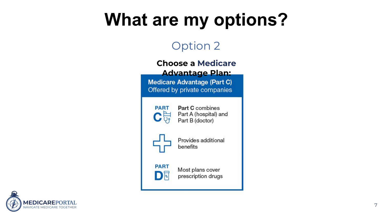## **What are my options?**

#### Option 2

#### **Choose a Medicare Advantage Plan:**

**Medicare Advantage (Part C)** Offered by private companies



**Part C** combines Part A (hospital) and Part B (doctor)



Provides additional benefits

#### **PART** DR

Most plans cover prescription drugs

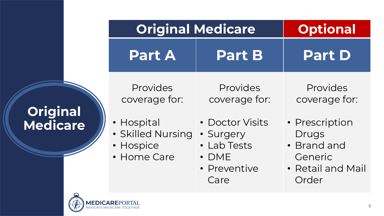### **Original Medicare**

| <b>Original Medicare</b>                                                                 |                                                                                                                 | <b>Optional</b>                                                                                              |  |
|------------------------------------------------------------------------------------------|-----------------------------------------------------------------------------------------------------------------|--------------------------------------------------------------------------------------------------------------|--|
| <b>Part A</b>                                                                            | <b>Part B</b>                                                                                                   | <b>Part D</b>                                                                                                |  |
| Provides<br>coverage for:<br>• Hospital<br>· Skilled Nursing<br>• Hospice<br>• Home Care | Provides<br>coverage for:<br>• Doctor Visits<br>· Surgery<br>• Lab Tests<br>$\cdot$ DME<br>• Preventive<br>Care | Provides<br>coverage for:<br>• Prescription<br>Drugs<br>• Brand and<br>Generic<br>• Retail and Mail<br>Order |  |

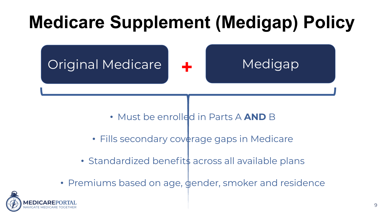# **Medicare Supplement (Medigap) Policy**





- Must be enrolled in Parts A **AND** B
- Fills secondary coverage gaps in Medicare
- Standardized benefits across all available plans
- Premiums based on age, gender, smoker and residence

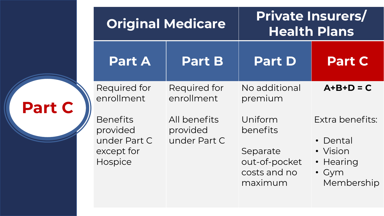|               |                                                                                                    | <b>Original Medicare</b>                                               |                                                                                                         | <b>Private Insurers/</b><br><b>Health Plans</b>                                                |  |
|---------------|----------------------------------------------------------------------------------------------------|------------------------------------------------------------------------|---------------------------------------------------------------------------------------------------------|------------------------------------------------------------------------------------------------|--|
|               | <b>Part A</b>                                                                                      | <b>Part B</b>                                                          | <b>Part D</b>                                                                                           | <b>Part C</b>                                                                                  |  |
| <b>Part C</b> | Required for<br>enrollment<br><b>Benefits</b><br>provided<br>under Part C<br>except for<br>Hospice | Required for<br>enrollment<br>All benefits<br>provided<br>under Part C | No additional<br>premium<br>Uniform<br>benefits<br>Separate<br>out-of-pocket<br>costs and no<br>maximum | $A+B+D=C$<br>Extra benefits:<br>• Dental<br>• Vision<br>• Hearing<br>$\cdot$ Gym<br>Membership |  |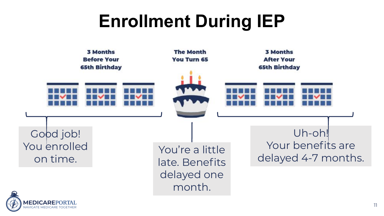## **Enrollment During IEP**



**IGATE MEDICARE TO**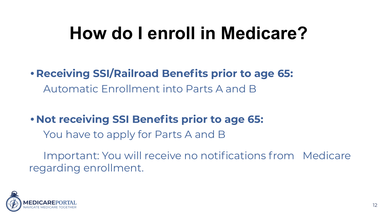### **How do I enroll in Medicare?**

#### **• Receiving SSI/Railroad Benefits prior to age 65:** Automatic Enrollment into Parts A and B

#### **• Not receiving SSI Benefits prior to age 65:**

You have to apply for Parts A and B

Important: You will receive no notifications from Medicare regarding enrollment.

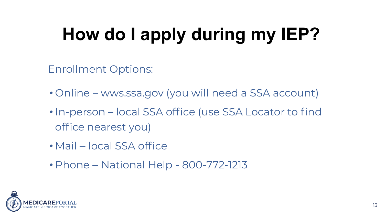# **How do I apply during my IEP?**

Enrollment Options:

- Online wws.ssa.gov (you will need a SSA account)
- In-person local SSA office (use SSA Locator to find office nearest you)
- Mail local SSA office
- Phone National Help 800-772-1213

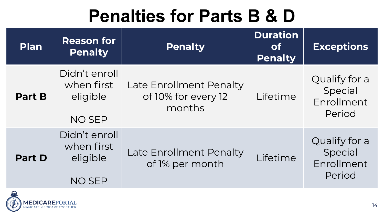### **Penalties for Parts B & D**

| <b>Plan</b>   | <b>Reason for</b><br><b>Penalty</b>                      | <b>Penalty</b>                                           | <b>Duration</b><br><b>of</b><br><b>Penalty</b> | <b>Exceptions</b>                                |
|---------------|----------------------------------------------------------|----------------------------------------------------------|------------------------------------------------|--------------------------------------------------|
| <b>Part B</b> | Didn't enroll<br>when first<br>eligible<br><b>NO SEP</b> | Late Enrollment Penalty<br>of 10% for every 12<br>months | Lifetime                                       | Qualify for a<br>Special<br>Enrollment<br>Period |
| <b>Part D</b> | Didn't enroll<br>when first<br>eligible<br><b>NO SEP</b> | Late Enrollment Penalty<br>of 1% per month               | Lifetime                                       | Qualify for a<br>Special<br>Enrollment<br>Period |

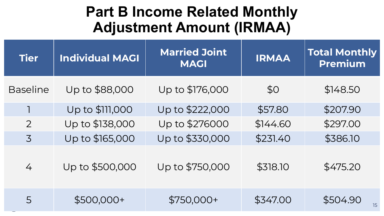### **Part B Income Related Monthly Adjustment Amount (IRMAA)**

| <b>Tier</b>     | <b>Individual MAGI</b> | <b>Married Joint</b><br><b>MAGI</b> | <b>IRMAA</b> | <b>Total Monthly</b><br><b>Premium</b> |
|-----------------|------------------------|-------------------------------------|--------------|----------------------------------------|
| <b>Baseline</b> | Up to \$88,000         | Up to \$176,000                     | \$0          | \$148.50                               |
|                 | Up to \$111,000        | Up to \$222,000                     | \$57.80      | \$207.90                               |
| $\overline{2}$  | Up to \$138,000        | Up to \$276000                      | \$144.60     | \$297.00                               |
| $\overline{3}$  | Up to \$165,000        | Up to \$330,000                     | \$231.40     | \$386.10                               |
| 4               | Up to \$500,000        | Up to \$750,000                     | \$318.10     | \$475.20                               |
| 5               | $$500,000+$            | $$750,000+$                         | \$347.00     | \$504.90<br>15                         |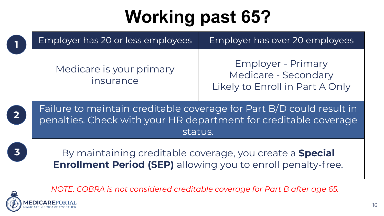# **Working past 65?**

|   | Employer has 20 or less employees                                                                                                                   | Employer has over 20 employees                                                       |  |
|---|-----------------------------------------------------------------------------------------------------------------------------------------------------|--------------------------------------------------------------------------------------|--|
|   | Medicare is your primary<br>insurance                                                                                                               | <b>Employer - Primary</b><br>Medicare - Secondary<br>Likely to Enroll in Part A Only |  |
|   | Failure to maintain creditable coverage for Part B/D could result in<br>penalties. Check with your HR department for creditable coverage<br>status. |                                                                                      |  |
| 3 | By maintaining creditable coverage, you create a <b>Special</b><br><b>Enrollment Period (SEP)</b> allowing you to enroll penalty-free.              |                                                                                      |  |

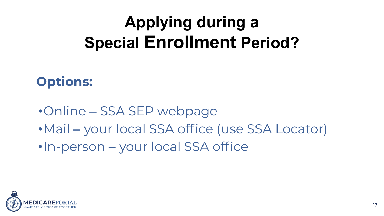### **Applying during a Special Enrollment Period?**

### **Options:**

- •Online SSA SEP webpage
- •Mail your local SSA office (use SSA Locator)
- •In-person your local SSA office

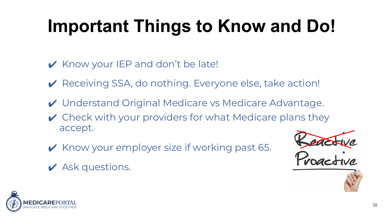# **Important Things to Know and Do!**

- ✔ Know your IEP and don't be late!
- ✔ Receiving SSA, do nothing. Everyone else, take action!
- ✔ Understand Original Medicare vs Medicare Advantage.
- $\vee$  Check with your providers for what Medicare plans they accept.
- ✔ Know your employer size if working past 65.
- $\boldsymbol{\mathsf{v}}$  Ask questions.





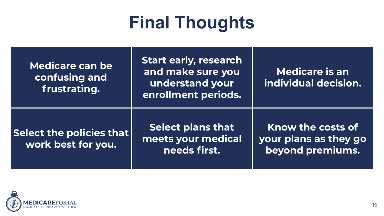### **Final Thoughts**

| <b>Medicare can be</b><br>confusing and<br>frustrating. | Start early, research<br>and make sure you<br>understand your<br>enrollment periods. | Medicare is an<br>individual decision.                         |
|---------------------------------------------------------|--------------------------------------------------------------------------------------|----------------------------------------------------------------|
| Select the policies that $\mid$<br>work best for you.   | <b>Select plans that</b><br>meets your medical<br>needs first.                       | Know the costs of<br>your plans as they go<br>beyond premiums. |

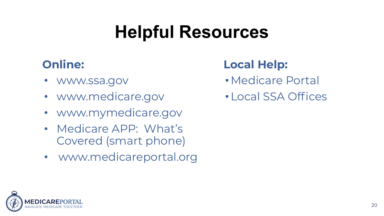### **Helpful Resources**

#### **Online:**

- www.ssa.gov
- www.medicare.gov
- www.mymedicare.gov
- Medicare APP: What's Covered (smart phone)
- www.medicareportal.org

#### **Local Help:**

- •Medicare Portal
- •Local SSA Offices